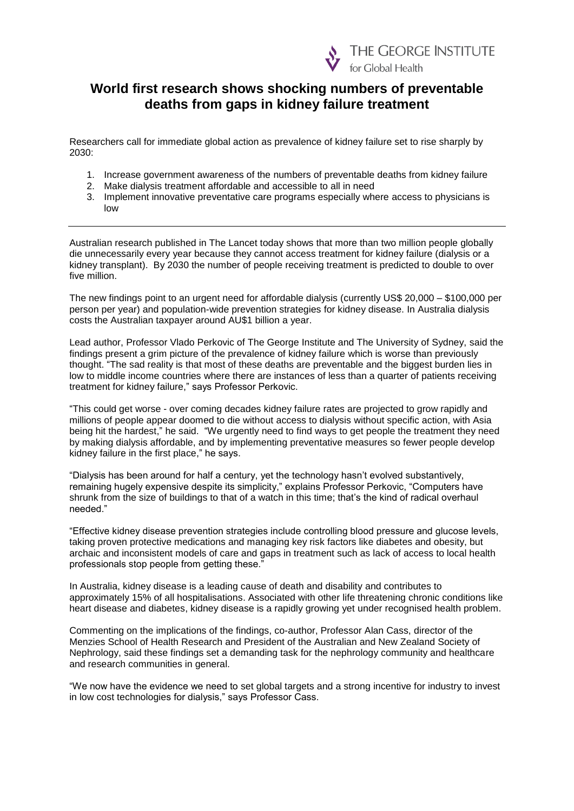

# **World first research shows shocking numbers of preventable deaths from gaps in kidney failure treatment**

Researchers call for immediate global action as prevalence of kidney failure set to rise sharply by 2030:

- 1. Increase government awareness of the numbers of preventable deaths from kidney failure
- 2. Make dialysis treatment affordable and accessible to all in need
- 3. Implement innovative preventative care programs especially where access to physicians is low

Australian research published in The Lancet today shows that more than two million people globally die unnecessarily every year because they cannot access treatment for kidney failure (dialysis or a kidney transplant). By 2030 the number of people receiving treatment is predicted to double to over five million.

The new findings point to an urgent need for affordable dialysis (currently US\$ 20,000 – \$100,000 per person per year) and population-wide prevention strategies for kidney disease. In Australia dialysis costs the Australian taxpayer around AU\$1 billion a year.

Lead author, Professor Vlado Perkovic of The George Institute and The University of Sydney, said the findings present a grim picture of the prevalence of kidney failure which is worse than previously thought. "The sad reality is that most of these deaths are preventable and the biggest burden lies in low to middle income countries where there are instances of less than a quarter of patients receiving treatment for kidney failure," says Professor Perkovic.

"This could get worse - over coming decades kidney failure rates are projected to grow rapidly and millions of people appear doomed to die without access to dialysis without specific action, with Asia being hit the hardest," he said. "We urgently need to find ways to get people the treatment they need by making dialysis affordable, and by implementing preventative measures so fewer people develop kidney failure in the first place," he says.

"Dialysis has been around for half a century, yet the technology hasn't evolved substantively, remaining hugely expensive despite its simplicity," explains Professor Perkovic, "Computers have shrunk from the size of buildings to that of a watch in this time; that's the kind of radical overhaul needed."

"Effective kidney disease prevention strategies include controlling blood pressure and glucose levels, taking proven protective medications and managing key risk factors like diabetes and obesity, but archaic and inconsistent models of care and gaps in treatment such as lack of access to local health professionals stop people from getting these."

In Australia, kidney disease is a leading cause of death and disability and contributes to approximately 15% of all hospitalisations. Associated with other life threatening chronic conditions like heart disease and diabetes, kidney disease is a rapidly growing yet under recognised health problem.

Commenting on the implications of the findings, co-author, Professor Alan Cass, director of the Menzies School of Health Research and President of the Australian and New Zealand Society of Nephrology, said these findings set a demanding task for the nephrology community and healthcare and research communities in general.

"We now have the evidence we need to set global targets and a strong incentive for industry to invest in low cost technologies for dialysis," says Professor Cass.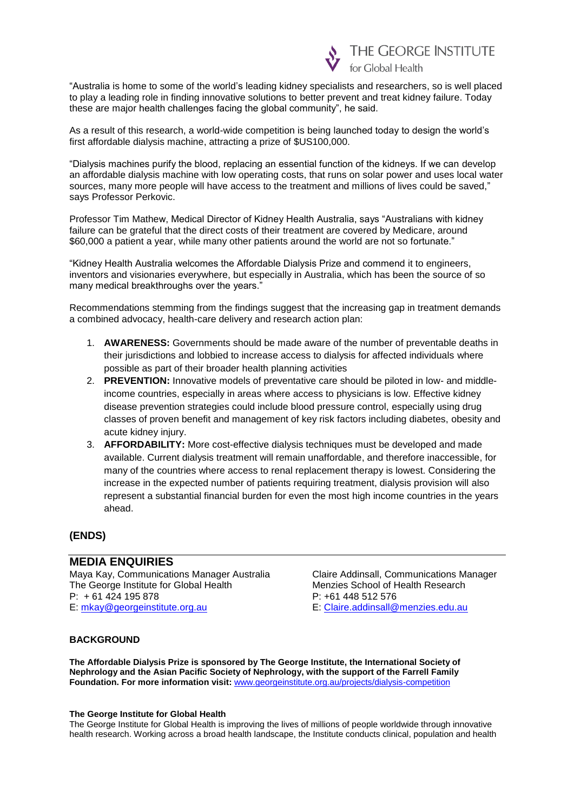

"Australia is home to some of the world's leading kidney specialists and researchers, so is well placed to play a leading role in finding innovative solutions to better prevent and treat kidney failure. Today these are major health challenges facing the global community", he said.

As a result of this research, a world-wide competition is being launched today to design the world's first affordable dialysis machine, attracting a prize of \$US100,000.

"Dialysis machines purify the blood, replacing an essential function of the kidneys. If we can develop an affordable dialysis machine with low operating costs, that runs on solar power and uses local water sources, many more people will have access to the treatment and millions of lives could be saved," says Professor Perkovic.

Professor Tim Mathew, Medical Director of Kidney Health Australia, says "Australians with kidney failure can be grateful that the direct costs of their treatment are covered by Medicare, around \$60,000 a patient a year, while many other patients around the world are not so fortunate."

"Kidney Health Australia welcomes the Affordable Dialysis Prize and commend it to engineers, inventors and visionaries everywhere, but especially in Australia, which has been the source of so many medical breakthroughs over the years."

Recommendations stemming from the findings suggest that the increasing gap in treatment demands a combined advocacy, health-care delivery and research action plan:

- 1. **AWARENESS:** Governments should be made aware of the number of preventable deaths in their jurisdictions and lobbied to increase access to dialysis for affected individuals where possible as part of their broader health planning activities
- 2. **PREVENTION:** Innovative models of preventative care should be piloted in low- and middleincome countries, especially in areas where access to physicians is low. Effective kidney disease prevention strategies could include blood pressure control, especially using drug classes of proven benefit and management of key risk factors including diabetes, obesity and acute kidney injury.
- 3. **AFFORDABILITY:** More cost-effective dialysis techniques must be developed and made available. Current dialysis treatment will remain unaffordable, and therefore inaccessible, for many of the countries where access to renal replacement therapy is lowest. Considering the increase in the expected number of patients requiring treatment, dialysis provision will also represent a substantial financial burden for even the most high income countries in the years ahead.

## **(ENDS)**

## **MEDIA ENQUIRIES**

Maya Kay, Communications Manager Australia Claire Addinsall, Communications Manager<br>The George Institute for Global Health<br>Menzies School of Health Research The George Institute for Global Health Menzies School of H<br>P: +61 424 195 878 P: +61 448 512 576  $P: +61424195878$ E: [mkay@georgeinstitute.org.au](mailto:mkay@georgeinstitute.org.au) E: [Claire.addinsall@menzies.edu.au](mailto:Claire.addinsall@menzies.edu.au)

#### **BACKGROUND**

**The Affordable Dialysis Prize is sponsored by The George Institute, the International Society of Nephrology and the Asian Pacific Society of Nephrology, with the support of the Farrell Family Foundation. For more information visit:** [www.georgeinstitute.org.au/projects/dialysis-competition](http://www.georgeinstitute.org.au/projects/dialysis-competition)

#### **The George Institute for Global Health**

The George Institute for Global Health is improving the lives of millions of people worldwide through innovative health research. Working across a broad health landscape, the Institute conducts clinical, population and health